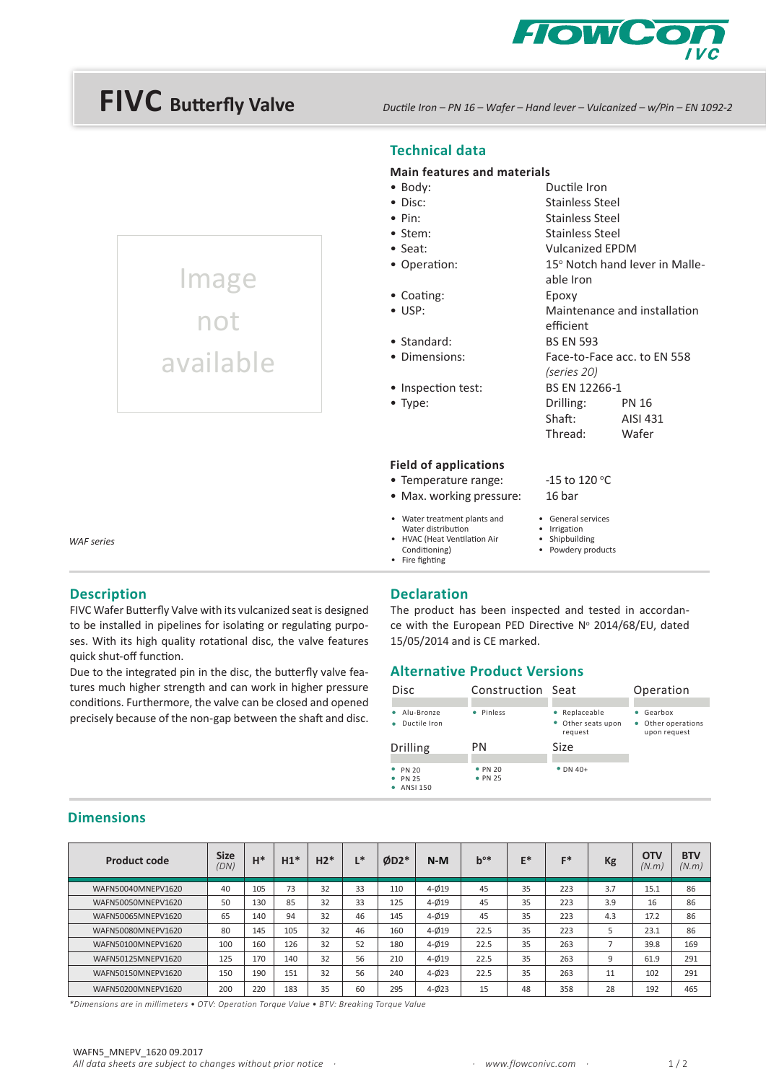

# **FIVC Butterfly Valve**

Image

not

available

*Ductile Iron – PN 16 – Wafer – Hand lever – Vulcanized – w/Pin – EN 1092-2*

### **Technical data**

#### **Main features and materials**

| $\bullet$ Body:       | Ductile Iron           |                                |
|-----------------------|------------------------|--------------------------------|
| $\bullet$ Disc:       | Stainless Steel        |                                |
| $\bullet$ Pin:        | Stainless Steel        |                                |
| $\bullet$ Stem:       | Stainless Steel        |                                |
| $\bullet$ Seat:       | <b>Vulcanized EPDM</b> |                                |
| • Operation:          |                        | 15° Notch hand lever in Malle- |
|                       | able Iron              |                                |
| $\bullet$ Coating:    | Epoxy                  |                                |
| $\bullet$ USP:        |                        | Maintenance and installation   |
|                       | efficient              |                                |
| • Standard:           | <b>BS EN 593</b>       |                                |
| • Dimensions:         |                        | Face-to-Face acc. to EN 558    |
|                       | (series 20)            |                                |
| • Inspection test:    | BS EN 12266-1          |                                |
| $\bullet$ Type:       | Drilling:              | <b>PN 16</b>                   |
|                       | Shaft:                 | AISI 431                       |
|                       | Thread:                | Wafer                          |
| Field of caplications |                        |                                |
|                       |                        |                                |

-15 to 120 °C

• General services • Irrigation

#### **Field of applications**

#### • Temperature range:

- Max. working pressure: 16 bar
- Water treatment plants and
- Water distribution • HVAC (Heat Ventilation Air
	- Shipbuilding • Powdery products
- Conditioning) • Fire fighting

*WAF series* 

#### **Description**

**Dimensions**

FIVC Wafer Butterfly Valve with its vulcanized seat is designed to be installed in pipelines for isolating or regulating purposes. With its high quality rotational disc, the valve features quick shut-off function.

Due to the integrated pin in the disc, the butterfly valve features much higher strength and can work in higher pressure conditions. Furthermore, the valve can be closed and opened precisely because of the non-gap between the shaft and disc.

#### **Declaration**

The product has been inspected and tested in accordance with the European PED Directive Nº 2014/68/EU, dated 15/05/2014 and is CE marked.

#### **Alternative Product Versions**

| Disc                                      | Construction Seat |                                              | Operation                                               |  |  |  |
|-------------------------------------------|-------------------|----------------------------------------------|---------------------------------------------------------|--|--|--|
| • Alu-Bronze<br>Ductile Iron<br>$\bullet$ | · Pinless         | Replaceable<br>• Other seats upon<br>request | $\bullet$ Gearbox<br>• Other operations<br>upon request |  |  |  |
| Drilling                                  | PN                | Size                                         |                                                         |  |  |  |
|                                           |                   |                                              |                                                         |  |  |  |

| <b>Product code</b> | <b>Size</b><br>(DN) | H*  | $H1*$ | $H2*$ | $\mathbf{I}$ | $ØD2*$ | $N-M$     | $b^{o*}$ | E* | F*  | Kg  | <b>OTV</b><br>(N.m) | <b>BTV</b><br>(N.m) |
|---------------------|---------------------|-----|-------|-------|--------------|--------|-----------|----------|----|-----|-----|---------------------|---------------------|
| WAFN50040MNEPV1620  | 40                  | 105 | 73    | 32    | 33           | 110    | $4 - 019$ | 45       | 35 | 223 | 3.7 | 15.1                | 86                  |
| WAFN50050MNEPV1620  | 50                  | 130 | 85    | 32    | 33           | 125    | $4 - 019$ | 45       | 35 | 223 | 3.9 | 16                  | 86                  |
| WAFN50065MNEPV1620  | 65                  | 140 | 94    | 32    | 46           | 145    | $4 - 019$ | 45       | 35 | 223 | 4.3 | 17.2                | 86                  |
| WAFN50080MNEPV1620  | 80                  | 145 | 105   | 32    | 46           | 160    | $4 - 019$ | 22.5     | 35 | 223 |     | 23.1                | 86                  |
| WAFN50100MNEPV1620  | 100                 | 160 | 126   | 32    | 52           | 180    | $4 - 019$ | 22.5     | 35 | 263 |     | 39.8                | 169                 |
| WAFN50125MNEPV1620  | 125                 | 170 | 140   | 32    | 56           | 210    | $4 - 019$ | 22.5     | 35 | 263 | 9   | 61.9                | 291                 |
| WAFN50150MNEPV1620  | 150                 | 190 | 151   | 32    | 56           | 240    | $4 - 023$ | 22.5     | 35 | 263 | 11  | 102                 | 291                 |
| WAFN50200MNEPV1620  | 200                 | 220 | 183   | 35    | 60           | 295    | $4 - 023$ | 15       | 48 | 358 | 28  | 192                 | 465                 |

*\*Dimensions are in millimeters • OTV: Operation Torque Value • BTV: Breaking Torque Value*